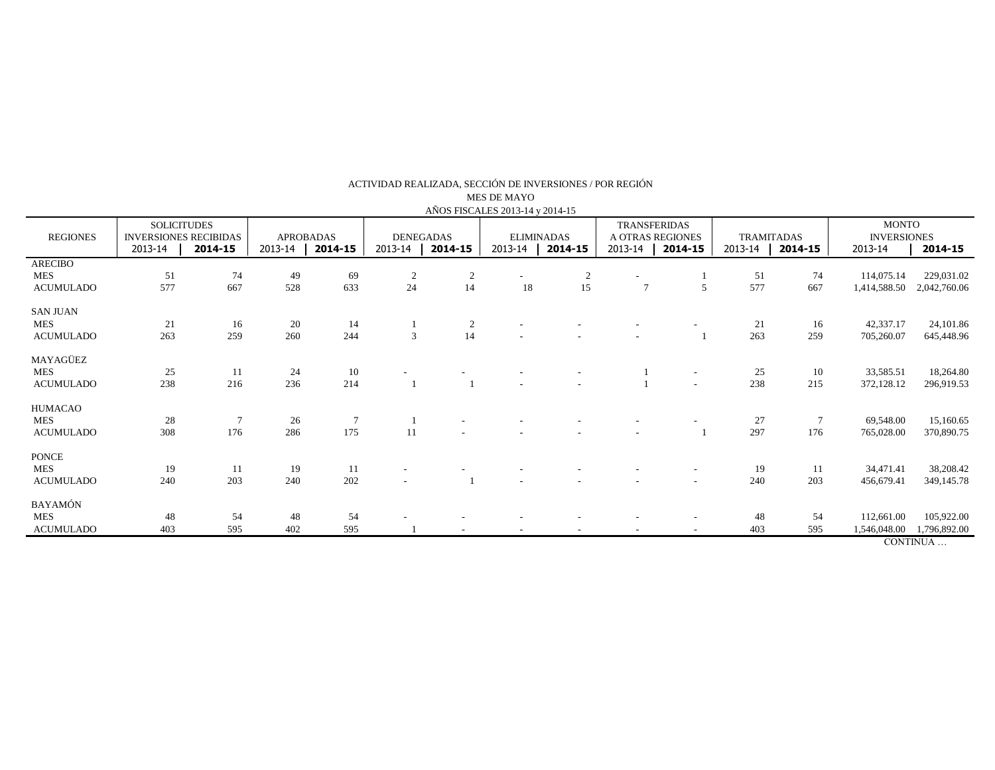| AÑOS FISCALES 2013-14 y 2014-15 |                                                                          |                |                                        |           |                                        |                |                                         |                |                                                               |                          |                                         |                 |                                                          |                         |
|---------------------------------|--------------------------------------------------------------------------|----------------|----------------------------------------|-----------|----------------------------------------|----------------|-----------------------------------------|----------------|---------------------------------------------------------------|--------------------------|-----------------------------------------|-----------------|----------------------------------------------------------|-------------------------|
| <b>REGIONES</b>                 | <b>SOLICITUDES</b><br><b>INVERSIONES RECIBIDAS</b><br>2013-14<br>2014-15 |                | <b>APROBADAS</b><br>2013-14<br>2014-15 |           | <b>DENEGADAS</b><br>2013-14<br>2014-15 |                | <b>ELIMINADAS</b><br>2013-14<br>2014-15 |                | <b>TRANSFERIDAS</b><br>A OTRAS REGIONES<br>2014-15<br>2013-14 |                          | <b>TRAMITADAS</b><br>2013-14<br>2014-15 |                 | <b>MONTO</b><br><b>INVERSIONES</b><br>2013-14<br>2014-15 |                         |
| <b>ARECIBO</b><br><b>MES</b>    | 51                                                                       | 74             | 49                                     | 69        | $\overline{c}$                         | $\overline{2}$ |                                         | $\overline{c}$ |                                                               |                          | 51                                      | 74              | 114,075.14                                               | 229,031.02              |
| <b>ACUMULADO</b>                | 577                                                                      | 667            | 528                                    | 633       | 24                                     | 14             | 18                                      | 15             | $\overline{7}$                                                | $\overline{5}$           | 577                                     | 667             | 1,414,588.50                                             | 2,042,760.06            |
| <b>SAN JUAN</b>                 |                                                                          |                |                                        |           |                                        |                |                                         |                |                                                               |                          |                                         |                 |                                                          |                         |
| <b>MES</b><br><b>ACUMULADO</b>  | 21<br>263                                                                | 16<br>259      | 20<br>260                              | 14<br>244 | 3                                      | 2<br>14        |                                         |                |                                                               |                          | 21<br>263                               | 16<br>259       | 42,337.17<br>705,260.07                                  | 24,101.86<br>645,448.96 |
| MAYAGÜEZ                        |                                                                          |                |                                        |           |                                        |                |                                         |                |                                                               |                          |                                         |                 |                                                          |                         |
| <b>MES</b>                      | 25                                                                       | -11            | 24                                     | 10        |                                        |                |                                         |                |                                                               | $\sim$                   | 25                                      | 10              | 33,585.51                                                | 18,264.80               |
| <b>ACUMULADO</b>                | 238                                                                      | 216            | 236                                    | 214       |                                        |                |                                         |                |                                                               | $\sim$                   | 238                                     | 215             | 372,128.12                                               | 296,919.53              |
| HUMACAO                         |                                                                          |                |                                        |           |                                        |                |                                         |                |                                                               |                          |                                         |                 |                                                          |                         |
| <b>MES</b>                      | 28                                                                       | $\overline{7}$ | 26                                     |           |                                        |                |                                         |                |                                                               |                          | 27                                      | $7\phantom{.0}$ | 69,548.00                                                | 15,160.65               |
| <b>ACUMULADO</b>                | 308                                                                      | 176            | 286                                    | 175       | 11                                     |                |                                         |                |                                                               |                          | 297                                     | 176             | 765,028.00                                               | 370,890.75              |
| <b>PONCE</b>                    |                                                                          |                |                                        |           |                                        |                |                                         |                |                                                               |                          |                                         |                 |                                                          |                         |
| <b>MES</b>                      | 19                                                                       | 11             | 19                                     | 11        | $\overline{\phantom{a}}$               |                |                                         |                |                                                               | $\overline{\phantom{a}}$ | 19                                      | 11              | 34,471.41                                                | 38,208.42               |
| <b>ACUMULADO</b>                | 240                                                                      | 203            | 240                                    | 202       |                                        |                |                                         |                |                                                               | $\overline{a}$           | 240                                     | 203             | 456,679.41                                               | 349,145.78              |
| BAYAMÓN                         |                                                                          |                |                                        |           |                                        |                |                                         |                |                                                               |                          |                                         |                 |                                                          |                         |
| <b>MES</b>                      | 48                                                                       | 54             | 48                                     | 54        |                                        |                |                                         |                |                                                               |                          | 48                                      | 54              | 112,661.00                                               | 105,922.00              |
| <b>ACUMULADO</b>                | 403                                                                      | 595            | 402                                    | 595       |                                        |                |                                         |                |                                                               |                          | 403                                     | 595             | 1,546,048.00                                             | 1,796,892.00            |
|                                 |                                                                          |                |                                        |           |                                        |                |                                         |                |                                                               |                          |                                         |                 |                                                          | CONTINUA                |

ACTIVIDAD REALIZADA, SECCIÓN DE INVERSIONES / POR REGIÓN

MES DE MAYO